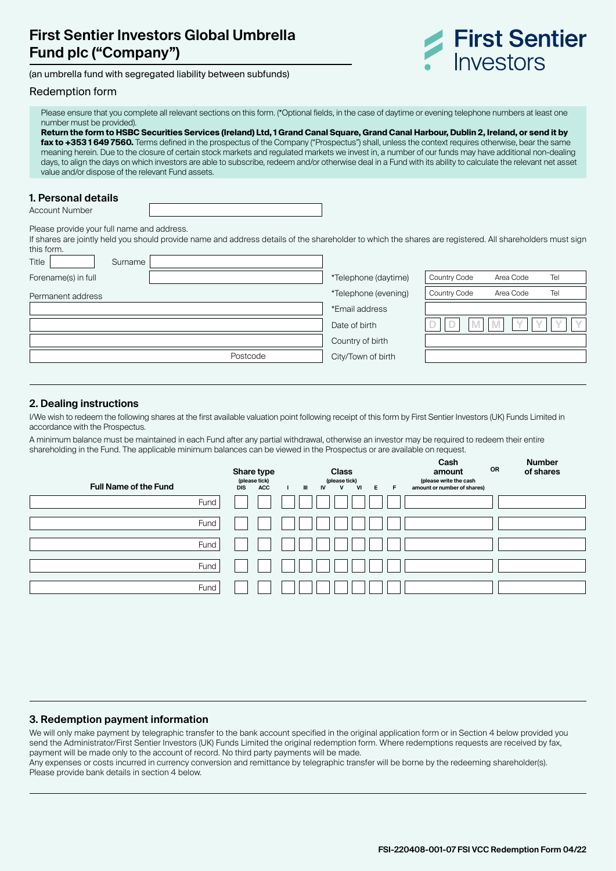# **First Sentier Investors Global Umbrella Fund plc ("Company")**

(an umbrella fund with segregated liability between subfunds)

## Redemption form

Please ensure that you complete all relevant sections on this form. (\*Optional fields, in the case of daytime or evening telephone numbers at least one number must be provided).

**Return the form to HSBC Securities Services (Ireland) Ltd, 1 Grand Canal Square, Grand Canal Harbour, Dublin 2, Ireland, or send it by fax to +353 1 649 7560.** Terms defined in the prospectus of the Company ("Prospectus") shall, unless the context requires otherwise, bear the same meaning herein. Due to the closure of certain stock markets and regulated markets we invest in, a number of our funds may have additional non-dealing days, to align the days on which investors are able to subscribe, redeem and/or otherwise deal in a Fund with its ability to calculate the relevant net asset value and/or dispose of the relevant Fund assets.

### **1. Personal details**

Account Number

Please provide your full name and address.

If shares are jointly held you should provide name and address details of the shareholder to which the shares are registered. All shareholders must sign this form.

| Title               | Surname |          |                      |                     |           |     |
|---------------------|---------|----------|----------------------|---------------------|-----------|-----|
| Forename(s) in full |         |          | *Telephone (daytime) | Country Code        | Area Code | Tel |
| Permanent address   |         |          | *Telephone (evening) | <b>Country Code</b> | Area Code | Tel |
|                     |         |          | *Email address       |                     |           |     |
|                     |         |          | Date of birth        |                     |           |     |
|                     |         |          | Country of birth     |                     |           |     |
|                     |         | Postcode | City/Town of birth   |                     |           |     |
|                     |         |          |                      |                     |           |     |

## **2. Dealing instructions**

I/We wish to redeem the following shares at the first available valuation point following receipt of this form by First Sentier Investors (UK) Funds Limited in accordance with the Prospectus.

A minimum balance must be maintained in each Fund after any partial withdrawal, otherwise an investor may be required to redeem their entire shareholding in the Fund. The applicable minimum balances can be viewed in the Prospectus or are available on request.

| <b>Full Name of the Fund</b> | Share type<br>(please tick)<br>ACC<br><b>DIS</b> | <b>Class</b><br>(please tick)<br>VI<br>E<br>$\mathbf{H}$<br>F.<br><b>IV</b><br>$\mathsf{v}$ | Cash<br><b>OR</b><br>amount<br>(please write the cash<br>amount or number of shares) | <b>Number</b><br>of shares |
|------------------------------|--------------------------------------------------|---------------------------------------------------------------------------------------------|--------------------------------------------------------------------------------------|----------------------------|
| Fund                         |                                                  |                                                                                             |                                                                                      |                            |
| Fund                         |                                                  |                                                                                             |                                                                                      |                            |
| Fund                         |                                                  |                                                                                             |                                                                                      |                            |
| Fund                         |                                                  |                                                                                             |                                                                                      |                            |
| Fund                         |                                                  |                                                                                             |                                                                                      |                            |

## **3. Redemption payment information**

We will only make payment by telegraphic transfer to the bank account specified in the original application form or in Section 4 below provided you send the Administrator/First Sentier Investors (UK) Funds Limited the original redemption form. Where redemptions requests are received by fax, payment will be made only to the account of record. No third party payments will be made.

Any expenses or costs incurred in currency conversion and remittance by telegraphic transfer will be borne by the redeeming shareholder(s). Please provide bank details in section 4 below.

**First Sentier** 

**Investors**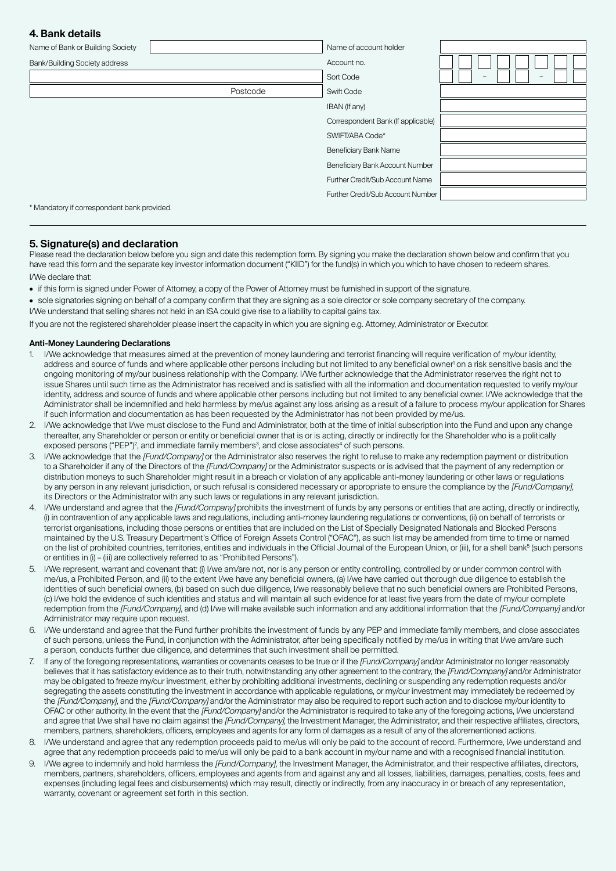## **4. Bank details**

| Name of Bank or Building Society            |          | Name of account holder             |                               |
|---------------------------------------------|----------|------------------------------------|-------------------------------|
| Bank/Building Society address               |          | Account no.                        |                               |
|                                             |          | Sort Code                          | -<br>$\overline{\phantom{0}}$ |
|                                             | Postcode | Swift Code                         |                               |
|                                             |          | IBAN (If any)                      |                               |
|                                             |          | Correspondent Bank (If applicable) |                               |
|                                             |          | SWIFT/ABA Code*                    |                               |
|                                             |          | Beneficiary Bank Name              |                               |
|                                             |          | Beneficiary Bank Account Number    |                               |
|                                             |          | Further Credit/Sub Account Name    |                               |
|                                             |          | Further Credit/Sub Account Number  |                               |
| * Mandatory if correspondent bank provided. |          |                                    |                               |

**5. Signature(s) and declaration** Please read the declaration below before you sign and date this redemption form. By signing you make the declaration shown below and confirm that you have read this form and the separate key investor information document ("KIID") for the fund(s) in which you which to have chosen to redeem shares. I/We declare that:

- if this form is signed under Power of Attorney, a copy of the Power of Attorney must be furnished in support of the signature.
- sole signatories signing on behalf of a company confirm that they are signing as a sole director or sole company secretary of the company. I/We understand that selling shares not held in an ISA could give rise to a liability to capital gains tax.

If you are not the registered shareholder please insert the capacity in which you are signing e.g. Attorney, Administrator or Executor.

#### **Anti-Money Laundering Declarations**

- 1. I/We acknowledge that measures aimed at the prevention of money laundering and terrorist financing will require verification of my/our identity, address and source of funds and where applicable other persons including but not limited to any beneficial owner<sup>i</sup> on a risk sensitive basis and the ongoing monitoring of my/our business relationship with the Company. I/We further acknowledge that the Administrator reserves the right not to issue Shares until such time as the Administrator has received and is satisfied with all the information and documentation requested to verify my/our identity, address and source of funds and where applicable other persons including but not limited to any beneficial owner. I/We acknowledge that the Administrator shall be indemnified and held harmless by me/us against any loss arising as a result of a failure to process my/our application for Shares if such information and documentation as has been requested by the Administrator has not been provided by me/us.
- 2. I/We acknowledge that I/we must disclose to the Fund and Administrator, both at the time of initial subscription into the Fund and upon any change thereafter, any Shareholder or person or entity or beneficial owner that is or is acting, directly or indirectly for the Shareholder who is a politically exposed persons ("PEP")<sup>2</sup>, and immediate family members<sup>3</sup>, and close associates<sup>4</sup> of such persons.
- 3. I/We acknowledge that the [Fund/Company] or the Administrator also reserves the right to refuse to make any redemption payment or distribution to a Shareholder if any of the Directors of the [Fund/Company] or the Administrator suspects or is advised that the payment of any redemption or distribution moneys to such Shareholder might result in a breach or violation of any applicable anti-money laundering or other laws or regulations by any person in any relevant jurisdiction, or such refusal is considered necessary or appropriate to ensure the compliance by the [Fund/Company], its Directors or the Administrator with any such laws or regulations in any relevant jurisdiction.
- 4. I/We understand and agree that the [Fund/Company] prohibits the investment of funds by any persons or entities that are acting, directly or indirectly, (i) in contravention of any applicable laws and regulations, including anti-money laundering regulations or conventions, (ii) on behalf of terrorists or terrorist organisations, including those persons or entities that are included on the List of Specially Designated Nationals and Blocked Persons maintained by the U.S. Treasury Department's Office of Foreign Assets Control ("OFAC"), as such list may be amended from time to time or named on the list of prohibited countries, territories, entities and individuals in the Official Journal of the European Union, or (iii), for a shell bank<sup>5</sup> (such persons or entities in (i) – (iii) are collectively referred to as "Prohibited Persons").
- 5. I/We represent, warrant and covenant that: (i) I/we am/are not, nor is any person or entity controlling, controlled by or under common control with me/us, a Prohibited Person, and (ii) to the extent I/we have any beneficial owners, (a) I/we have carried out thorough due diligence to establish the identities of such beneficial owners, (b) based on such due diligence, I/we reasonably believe that no such beneficial owners are Prohibited Persons, (c) I/we hold the evidence of such identities and status and will maintain all such evidence for at least five years from the date of my/our complete redemption from the [Fund/Company], and (d) I/we will make available such information and any additional information that the [Fund/Company] and/or Administrator may require upon request.
- 6. I/We understand and agree that the Fund further prohibits the investment of funds by any PEP and immediate family members, and close associates of such persons, unless the Fund, in conjunction with the Administrator, after being specifically notified by me/us in writing that I/we am/are such a person, conducts further due diligence, and determines that such investment shall be permitted.
- 7. If any of the foregoing representations, warranties or covenants ceases to be true or if the [Fund/Company] and/or Administrator no longer reasonably believes that it has satisfactory evidence as to their truth, notwithstanding any other agreement to the contrary, the *[Fund/Company]* and/or Administrator may be obligated to freeze my/our investment, either by prohibiting additional investments, declining or suspending any redemption requests and/or segregating the assets constituting the investment in accordance with applicable regulations, or my/our investment may immediately be redeemed by the [Fund/Company], and the [Fund/Company] and/or the Administrator may also be required to report such action and to disclose my/our identity to OFAC or other authority. In the event that the [Fund/Company] and/or the Administrator is required to take any of the foregoing actions, I/we understand and agree that I/we shall have no claim against the [Fund/Company], the Investment Manager, the Administrator, and their respective affiliates, directors, members, partners, shareholders, officers, employees and agents for any form of damages as a result of any of the aforementioned actions.
- 8. I/We understand and agree that any redemption proceeds paid to me/us will only be paid to the account of record. Furthermore, I/we understand and agree that any redemption proceeds paid to me/us will only be paid to a bank account in my/our name and with a recognised financial institution.
- 9. I/We agree to indemnify and hold harmless the [Fund/Company], the Investment Manager, the Administrator, and their respective affiliates, directors, members, partners, shareholders, officers, employees and agents from and against any and all losses, liabilities, damages, penalties, costs, fees and expenses (including legal fees and disbursements) which may result, directly or indirectly, from any inaccuracy in or breach of any representation, warranty, covenant or agreement set forth in this section.